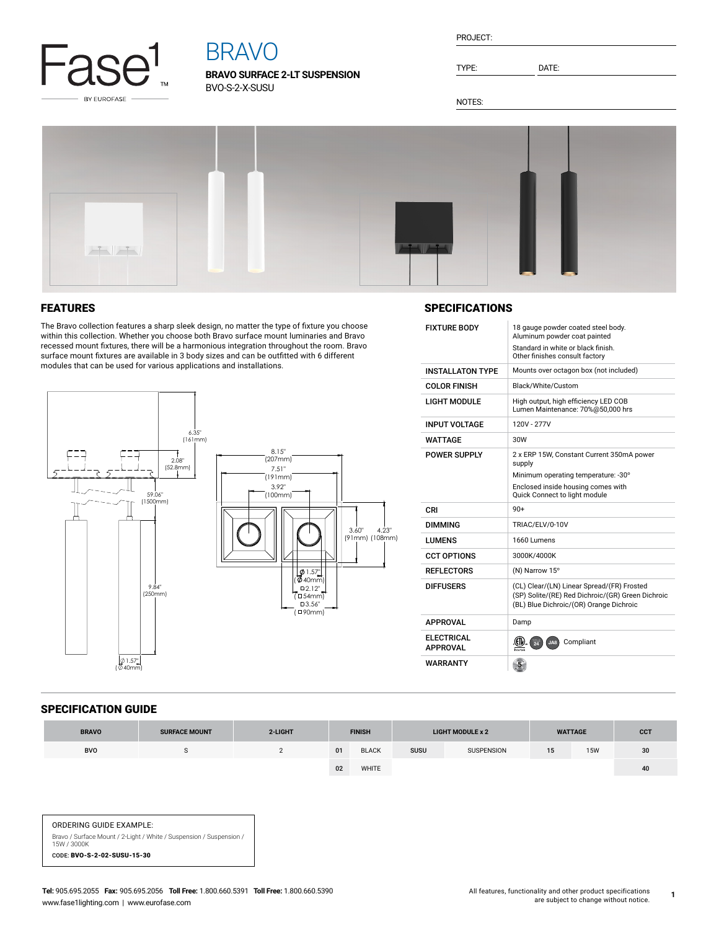

# BRAVO

**BRAVO SURFACE 2-LT SUSPENSION** BVO-S-2-X-SUSU

| PROJECT: |  |
|----------|--|
|          |  |

TYPE: DATE:

NOTES:



## FEATURES

The Bravo collection features a sharp sleek design, no matter the type of fixture you choose within this collection. Whether you choose both Bravo surface mount luminaries and Bravo recessed mount fixtures, there will be a harmonious integration throughout the room. Bravo surface mount fixtures are available in 3 body sizes and can be outfitted with 6 different modules that can be used for various applications and installations.



## **SPECIFICATIONS**

| <b>FIXTURE BODY</b>                  | 18 gauge powder coated steel body.<br>Aluminum powder coat painted                                                                         |  |  |  |  |
|--------------------------------------|--------------------------------------------------------------------------------------------------------------------------------------------|--|--|--|--|
|                                      | Standard in white or black finish.<br>Other finishes consult factory                                                                       |  |  |  |  |
| <b>INSTALLATON TYPE</b>              | Mounts over octagon box (not included)                                                                                                     |  |  |  |  |
| <b>COLOR FINISH</b>                  | Black/White/Custom                                                                                                                         |  |  |  |  |
| <b>LIGHT MODULE</b>                  | High output, high efficiency LED COB<br>Lumen Maintenance: 70%@50.000 hrs                                                                  |  |  |  |  |
| <b>INPUT VOLTAGE</b>                 | 120V - 277V                                                                                                                                |  |  |  |  |
| WATTAGF                              | 30W                                                                                                                                        |  |  |  |  |
| <b>POWER SUPPLY</b>                  | 2 x ERP 15W, Constant Current 350mA power<br>supply<br>Minimum operating temperature: -30°                                                 |  |  |  |  |
|                                      | Enclosed inside housing comes with<br>Quick Connect to light module                                                                        |  |  |  |  |
|                                      |                                                                                                                                            |  |  |  |  |
| CRI                                  | $90+$                                                                                                                                      |  |  |  |  |
| <b>DIMMING</b>                       | TRIAC/ELV/0-10V                                                                                                                            |  |  |  |  |
| <b>LUMENS</b>                        | 1660 Lumens                                                                                                                                |  |  |  |  |
| <b>CCT OPTIONS</b>                   | 3000K/4000K                                                                                                                                |  |  |  |  |
| <b>REFLECTORS</b>                    | (N) Narrow 15°                                                                                                                             |  |  |  |  |
| <b>DIFFUSERS</b>                     | (CL) Clear/(LN) Linear Spread/(FR) Frosted<br>(SP) Solite/(RE) Red Dichroic/(GR) Green Dichroic<br>(BL) Blue Dichroic/(OR) Orange Dichroic |  |  |  |  |
| <b>APPROVAL</b>                      | Damp                                                                                                                                       |  |  |  |  |
| <b>ELECTRICAL</b><br><b>APPROVAL</b> | Compliant<br>$\overline{24}$<br>JAB                                                                                                        |  |  |  |  |

#### SPECIFICATION GUIDE

| <b>BRAVO</b> | <b>SURFACE MOUNT</b> | 2-LIGHT | <b>FINISH</b> |              | <b>LIGHT MODULE x 2</b> |                   | <b>WATTAGE</b> |            | <b>CCT</b>      |
|--------------|----------------------|---------|---------------|--------------|-------------------------|-------------------|----------------|------------|-----------------|
| <b>BVO</b>   |                      |         | 01            | <b>BLACK</b> | <b>SUSU</b>             | <b>SUSPENSION</b> | 15             | <b>15W</b> | 30 <sup>°</sup> |
|              |                      |         | 02            | WHITE        |                         |                   |                |            | 40              |

ORDERING GUIDE EXAMPLE: Bravo / Surface Mount / 2-Light / White / Suspension / Suspension / 15W / 3000K CODE: BVO-S-2-02-SUSU-15-30

**1**